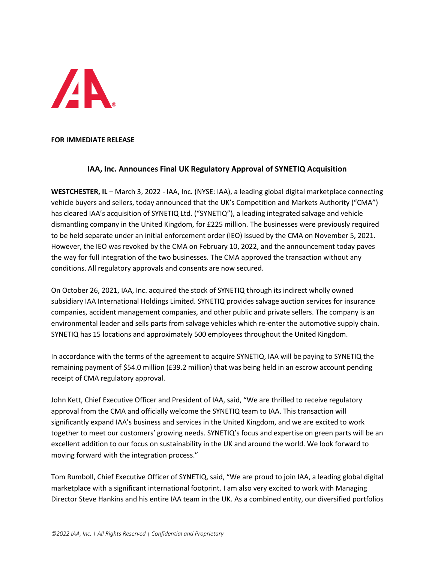

### **FOR IMMEDIATE RELEASE**

# **IAA, Inc. Announces Final UK Regulatory Approval of SYNETIQ Acquisition**

**WESTCHESTER, IL** *–* March 3, 2022 - IAA, Inc. (NYSE: IAA), a leading global digital marketplace connecting vehicle buyers and sellers, today announced that the UK's Competition and Markets Authority ("CMA") has cleared IAA's acquisition of SYNETIQ Ltd. ("SYNETIQ"), a leading integrated salvage and vehicle dismantling company in the United Kingdom, for £225 million. The businesses were previously required to be held separate under an initial enforcement order (IEO) issued by the CMA on November 5, 2021. However, the IEO was revoked by the CMA on February 10, 2022, and the announcement today paves the way for full integration of the two businesses. The CMA approved the transaction without any conditions. All regulatory approvals and consents are now secured.

On October 26, 2021, IAA, Inc. acquired the stock of SYNETIQ through its indirect wholly owned subsidiary IAA International Holdings Limited. SYNETIQ provides salvage auction services for insurance companies, accident management companies, and other public and private sellers. The company is an environmental leader and sells parts from salvage vehicles which re-enter the automotive supply chain. SYNETIQ has 15 locations and approximately 500 employees throughout the United Kingdom.

In accordance with the terms of the agreement to acquire SYNETIQ, IAA will be paying to SYNETIQ the remaining payment of \$54.0 million (£39.2 million) that was being held in an escrow account pending receipt of CMA regulatory approval.

John Kett, Chief Executive Officer and President of IAA, said, "We are thrilled to receive regulatory approval from the CMA and officially welcome the SYNETIQ team to IAA. This transaction will significantly expand IAA's business and services in the United Kingdom, and we are excited to work together to meet our customers' growing needs. SYNETIQ's focus and expertise on green parts will be an excellent addition to our focus on sustainability in the UK and around the world. We look forward to moving forward with the integration process."

Tom Rumboll, Chief Executive Officer of SYNETIQ, said, "We are proud to join IAA, a leading global digital marketplace with a significant international footprint. I am also very excited to work with Managing Director Steve Hankins and his entire IAA team in the UK. As a combined entity, our diversified portfolios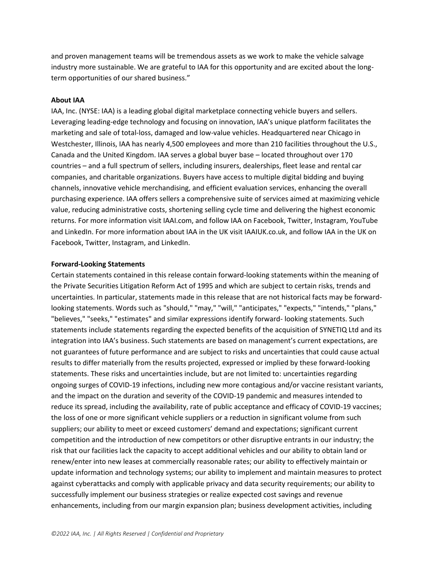and proven management teams will be tremendous assets as we work to make the vehicle salvage industry more sustainable. We are grateful to IAA for this opportunity and are excited about the longterm opportunities of our shared business."

## **About IAA**

IAA, Inc. (NYSE: IAA) is a leading global digital marketplace connecting vehicle buyers and sellers. Leveraging leading-edge technology and focusing on innovation, IAA's unique platform facilitates the marketing and sale of total-loss, damaged and low-value vehicles. Headquartered near Chicago in Westchester, Illinois, IAA has nearly 4,500 employees and more than 210 facilities throughout the U.S., Canada and the United Kingdom. IAA serves a global buyer base – located throughout over 170 countries – and a full spectrum of sellers, including insurers, dealerships, fleet lease and rental car companies, and charitable organizations. Buyers have access to multiple digital bidding and buying channels, innovative vehicle merchandising, and efficient evaluation services, enhancing the overall purchasing experience. IAA offers sellers a comprehensive suite of services aimed at maximizing vehicle value, reducing administrative costs, shortening selling cycle time and delivering the highest economic returns. For more information visit IAAI.com, and follow IAA on Facebook, Twitter, Instagram, YouTube and LinkedIn. For more information about IAA in the UK visit IAAIUK.co.uk, and follow IAA in the UK on Facebook, Twitter, Instagram, and LinkedIn.

## **Forward-Looking Statements**

Certain statements contained in this release contain forward-looking statements within the meaning of the Private Securities Litigation Reform Act of 1995 and which are subject to certain risks, trends and uncertainties. In particular, statements made in this release that are not historical facts may be forwardlooking statements. Words such as "should," "may," "will," "anticipates," "expects," "intends," "plans," "believes," "seeks," "estimates" and similar expressions identify forward- looking statements. Such statements include statements regarding the expected benefits of the acquisition of SYNETIQ Ltd and its integration into IAA's business. Such statements are based on management's current expectations, are not guarantees of future performance and are subject to risks and uncertainties that could cause actual results to differ materially from the results projected, expressed or implied by these forward-looking statements. These risks and uncertainties include, but are not limited to: uncertainties regarding ongoing surges of COVID-19 infections, including new more contagious and/or vaccine resistant variants, and the impact on the duration and severity of the COVID-19 pandemic and measures intended to reduce its spread, including the availability, rate of public acceptance and efficacy of COVID-19 vaccines; the loss of one or more significant vehicle suppliers or a reduction in significant volume from such suppliers; our ability to meet or exceed customers' demand and expectations; significant current competition and the introduction of new competitors or other disruptive entrants in our industry; the risk that our facilities lack the capacity to accept additional vehicles and our ability to obtain land or renew/enter into new leases at commercially reasonable rates; our ability to effectively maintain or update information and technology systems; our ability to implement and maintain measures to protect against cyberattacks and comply with applicable privacy and data security requirements; our ability to successfully implement our business strategies or realize expected cost savings and revenue enhancements, including from our margin expansion plan; business development activities, including